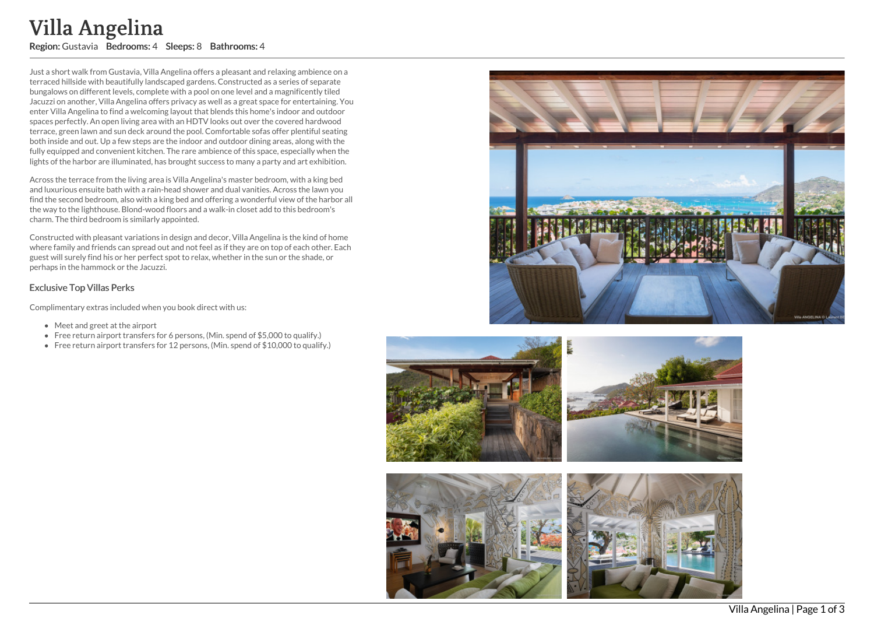## Villa Angelina

Region: Gustavia Bedrooms: 4 Sleeps: 8 Bathrooms: 4

Just a short walk from Gustavia, Villa Angelina offers a pleasant and relaxing ambience on a terraced hillside with beautifully landscaped gardens. Constructed as a series of separate bungalows on different levels, complete with a pool on one level and a magnificently tiled Jacuzzi on another, Villa Angelina offers privacy as well as a great space for entertaining. You enter Villa Angelina to find a welcoming layout that blends this home's indoor and outdoor spaces perfectly. An open living area with an HDTV looks out over the covered hardwood terrace, green lawn and sun deck around the pool. Comfortable sofas offer plentiful seating both inside and out. Up a few steps are the indoor and outdoor dining areas, along with the fully equipped and convenient kitchen. The rare ambience of this space, especially when the lights of the harbor are illuminated, has brought success to many a party and art exhibition.

Across the terrace from the living area is Villa Angelina's master bedroom, with a king bed and luxurious ensuite bath with a rain-head shower and dual vanities. Across the lawn you find the second bedroom, also with a king bed and offering a wonderful view of the harbor all the way to the lighthouse. Blond-wood floors and a walk-in closet add to this bedroom's charm. The third bedroom is similarly appointed.

Constructed with pleasant variations in design and decor, Villa Angelina is the kind of home where family and friends can spread out and not feel as if they are on top of each other. Each guest will surely find his or her perfect spot to relax, whether in the sun or the shade, or perhaps in the hammock or the Jacuzzi.

## Exclusive Top Villas Perks

Complimentary extras included when you book direct with us:

- Meet and greet at the airport
- Free return airport transfers for 6 persons, (Min. spend of \$5,000 to qualify.)
- Free return airport transfers for 12 persons, (Min. spend of \$10,000 to qualify.)



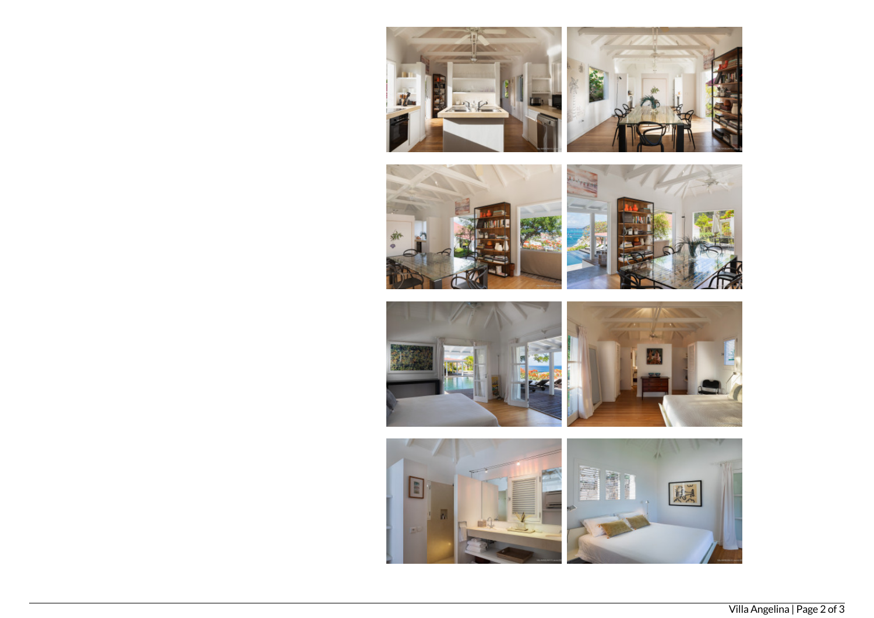